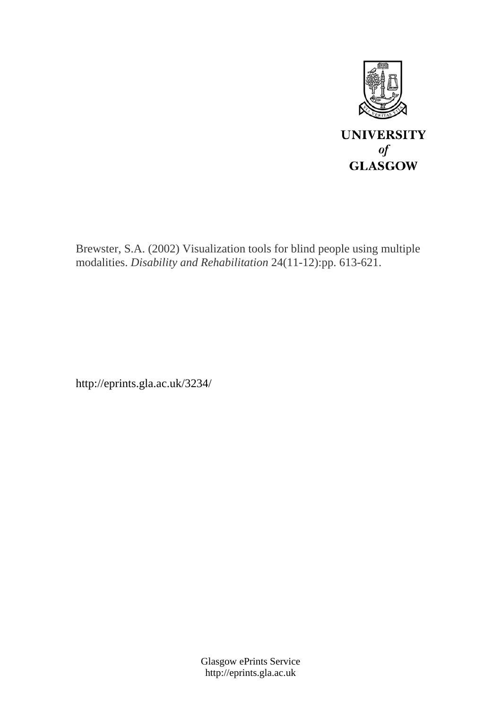

Brewster, S.A. (2002) Visualization tools for blind people using multiple modalities. *Disability and Rehabilitation* 24(11-12):pp. 613-621.

http://eprints.gla.ac.uk/3234/

Glasgow ePrints Service http://eprints.gla.ac.uk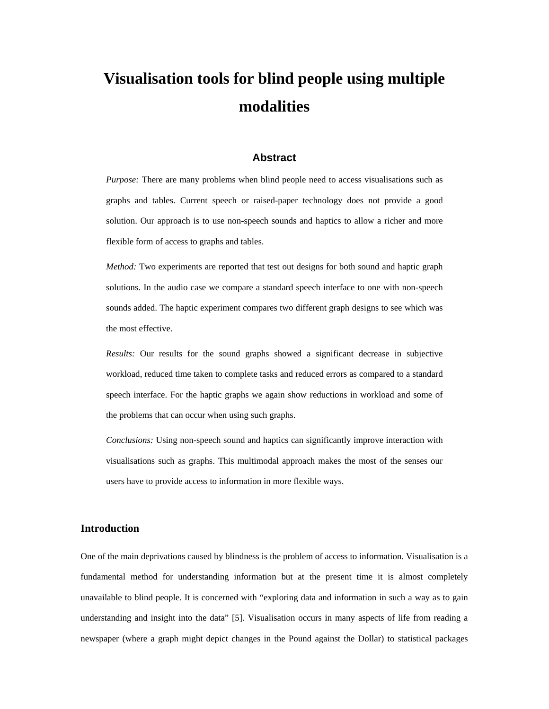# **Visualisation tools for blind people using multiple modalities**

# **Abstract**

*Purpose:* There are many problems when blind people need to access visualisations such as graphs and tables. Current speech or raised-paper technology does not provide a good solution. Our approach is to use non-speech sounds and haptics to allow a richer and more flexible form of access to graphs and tables.

*Method:* Two experiments are reported that test out designs for both sound and haptic graph solutions. In the audio case we compare a standard speech interface to one with non-speech sounds added. The haptic experiment compares two different graph designs to see which was the most effective.

*Results:* Our results for the sound graphs showed a significant decrease in subjective workload, reduced time taken to complete tasks and reduced errors as compared to a standard speech interface. For the haptic graphs we again show reductions in workload and some of the problems that can occur when using such graphs.

*Conclusions:* Using non-speech sound and haptics can significantly improve interaction with visualisations such as graphs. This multimodal approach makes the most of the senses our users have to provide access to information in more flexible ways.

## **Introduction**

One of the main deprivations caused by blindness is the problem of access to information. Visualisation is a fundamental method for understanding information but at the present time it is almost completely unavailable to blind people. It is concerned with "exploring data and information in such a way as to gain understanding and insight into the data" [5]. Visualisation occurs in many aspects of life from reading a newspaper (where a graph might depict changes in the Pound against the Dollar) to statistical packages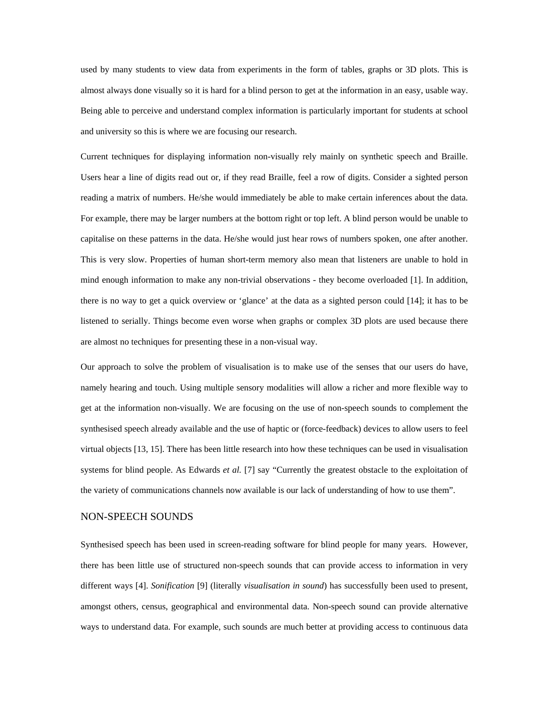used by many students to view data from experiments in the form of tables, graphs or 3D plots. This is almost always done visually so it is hard for a blind person to get at the information in an easy, usable way. Being able to perceive and understand complex information is particularly important for students at school and university so this is where we are focusing our research.

Current techniques for displaying information non-visually rely mainly on synthetic speech and Braille. Users hear a line of digits read out or, if they read Braille, feel a row of digits. Consider a sighted person reading a matrix of numbers. He/she would immediately be able to make certain inferences about the data. For example, there may be larger numbers at the bottom right or top left. A blind person would be unable to capitalise on these patterns in the data. He/she would just hear rows of numbers spoken, one after another. This is very slow. Properties of human short-term memory also mean that listeners are unable to hold in mind enough information to make any non-trivial observations - they become overloaded [1]. In addition, there is no way to get a quick overview or 'glance' at the data as a sighted person could [14]; it has to be listened to serially. Things become even worse when graphs or complex 3D plots are used because there are almost no techniques for presenting these in a non-visual way.

Our approach to solve the problem of visualisation is to make use of the senses that our users do have, namely hearing and touch. Using multiple sensory modalities will allow a richer and more flexible way to get at the information non-visually. We are focusing on the use of non-speech sounds to complement the synthesised speech already available and the use of haptic or (force-feedback) devices to allow users to feel virtual objects [13, 15]. There has been little research into how these techniques can be used in visualisation systems for blind people. As Edwards *et al.* [7] say "Currently the greatest obstacle to the exploitation of the variety of communications channels now available is our lack of understanding of how to use them".

# NON-SPEECH SOUNDS

Synthesised speech has been used in screen-reading software for blind people for many years. However, there has been little use of structured non-speech sounds that can provide access to information in very different ways [4]. *Sonification* [9] (literally *visualisation in sound*) has successfully been used to present, amongst others, census, geographical and environmental data. Non-speech sound can provide alternative ways to understand data. For example, such sounds are much better at providing access to continuous data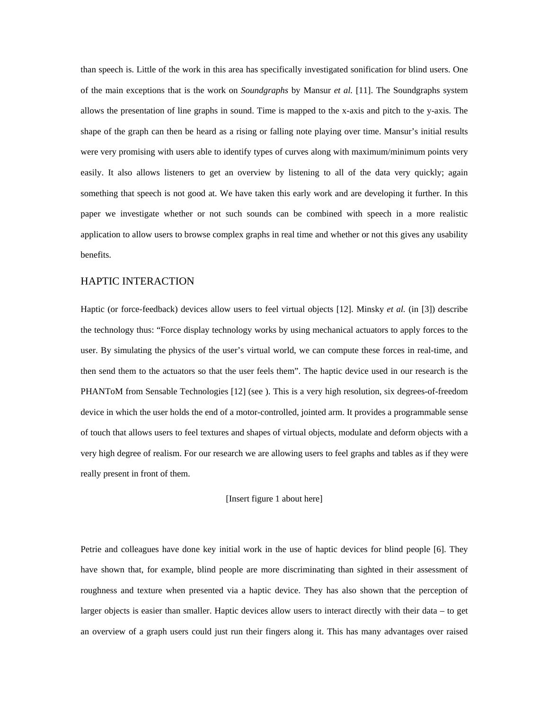than speech is. Little of the work in this area has specifically investigated sonification for blind users. One of the main exceptions that is the work on *Soundgraphs* by Mansur *et al.* [11]. The Soundgraphs system allows the presentation of line graphs in sound. Time is mapped to the x-axis and pitch to the y-axis. The shape of the graph can then be heard as a rising or falling note playing over time. Mansur's initial results were very promising with users able to identify types of curves along with maximum/minimum points very easily. It also allows listeners to get an overview by listening to all of the data very quickly; again something that speech is not good at. We have taken this early work and are developing it further. In this paper we investigate whether or not such sounds can be combined with speech in a more realistic application to allow users to browse complex graphs in real time and whether or not this gives any usability benefits.

# HAPTIC INTERACTION

Haptic (or force-feedback) devices allow users to feel virtual objects [12]. Minsky *et al.* (in [3]) describe the technology thus: "Force display technology works by using mechanical actuators to apply forces to the user. By simulating the physics of the user's virtual world, we can compute these forces in real-time, and then send them to the actuators so that the user feels them". The haptic device used in our research is the PHANToM from Sensable Technologies [12] (see ). This is a very high resolution, six degrees-of-freedom device in which the user holds the end of a motor-controlled, jointed arm. It provides a programmable sense of touch that allows users to feel textures and shapes of virtual objects, modulate and deform objects with a very high degree of realism. For our research we are allowing users to feel graphs and tables as if they were really present in front of them.

#### [Insert figure 1 about here]

Petrie and colleagues have done key initial work in the use of haptic devices for blind people [6]. They have shown that, for example, blind people are more discriminating than sighted in their assessment of roughness and texture when presented via a haptic device. They has also shown that the perception of larger objects is easier than smaller. Haptic devices allow users to interact directly with their data – to get an overview of a graph users could just run their fingers along it. This has many advantages over raised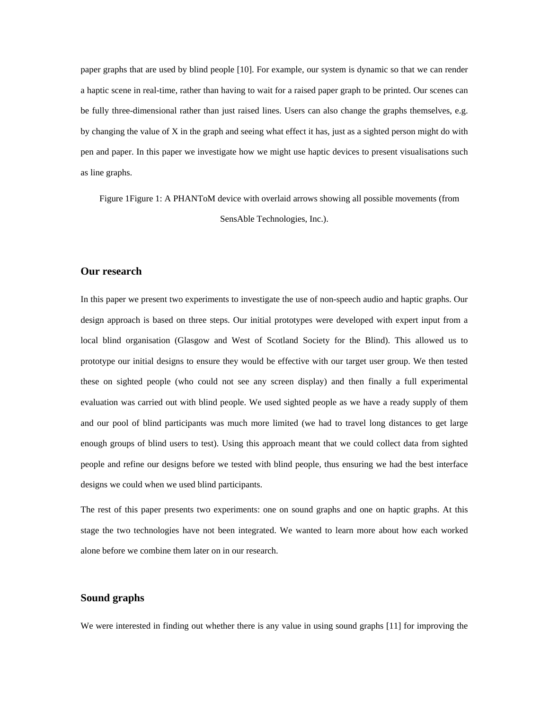paper graphs that are used by blind people [10]. For example, our system is dynamic so that we can render a haptic scene in real-time, rather than having to wait for a raised paper graph to be printed. Our scenes can be fully three-dimensional rather than just raised lines. Users can also change the graphs themselves, e.g. by changing the value of X in the graph and seeing what effect it has, just as a sighted person might do with pen and paper. In this paper we investigate how we might use haptic devices to present visualisations such as line graphs.

Figure 1Figure 1: A PHANToM device with overlaid arrows showing all possible movements (from SensAble Technologies, Inc.).

## **Our research**

In this paper we present two experiments to investigate the use of non-speech audio and haptic graphs. Our design approach is based on three steps. Our initial prototypes were developed with expert input from a local blind organisation (Glasgow and West of Scotland Society for the Blind). This allowed us to prototype our initial designs to ensure they would be effective with our target user group. We then tested these on sighted people (who could not see any screen display) and then finally a full experimental evaluation was carried out with blind people. We used sighted people as we have a ready supply of them and our pool of blind participants was much more limited (we had to travel long distances to get large enough groups of blind users to test). Using this approach meant that we could collect data from sighted people and refine our designs before we tested with blind people, thus ensuring we had the best interface designs we could when we used blind participants.

The rest of this paper presents two experiments: one on sound graphs and one on haptic graphs. At this stage the two technologies have not been integrated. We wanted to learn more about how each worked alone before we combine them later on in our research.

#### **Sound graphs**

We were interested in finding out whether there is any value in using sound graphs [11] for improving the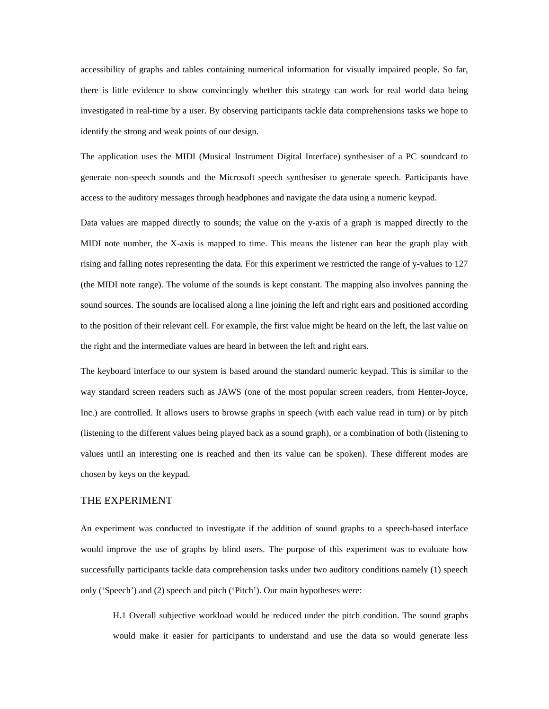accessibility of graphs and tables containing numerical information for visually impaired people. So far, there is little evidence to show convincingly whether this strategy can work for real world data being investigated in real-time by a user. By observing participants tackle data comprehensions tasks we hope to identify the strong and weak points of our design.

The application uses the MIDI (Musical Instrument Digital Interface) synthesiser of a PC soundcard to generate non-speech sounds and the Microsoft speech synthesiser to generate speech. Participants have access to the auditory messages through headphones and navigate the data using a numeric keypad.

Data values are mapped directly to sounds; the value on the y-axis of a graph is mapped directly to the MIDI note number, the X-axis is mapped to time. This means the listener can hear the graph play with rising and falling notes representing the data. For this experiment we restricted the range of y-values to 127 (the MIDI note range). The volume of the sounds is kept constant. The mapping also involves panning the sound sources. The sounds are localised along a line joining the left and right ears and positioned according to the position of their relevant cell. For example, the first value might be heard on the left, the last value on the right and the intermediate values are heard in between the left and right ears.

The keyboard interface to our system is based around the standard numeric keypad. This is similar to the way standard screen readers such as JAWS (one of the most popular screen readers, from Henter-Joyce, Inc.) are controlled. It allows users to browse graphs in speech (with each value read in turn) or by pitch (listening to the different values being played back as a sound graph), or a combination of both (listening to values until an interesting one is reached and then its value can be spoken). These different modes are chosen by keys on the keypad.

#### THE EXPERIMENT

An experiment was conducted to investigate if the addition of sound graphs to a speech-based interface would improve the use of graphs by blind users. The purpose of this experiment was to evaluate how successfully participants tackle data comprehension tasks under two auditory conditions namely (1) speech only ('Speech') and (2) speech and pitch ('Pitch'). Our main hypotheses were:

H.1 Overall subjective workload would be reduced under the pitch condition. The sound graphs would make it easier for participants to understand and use the data so would generate less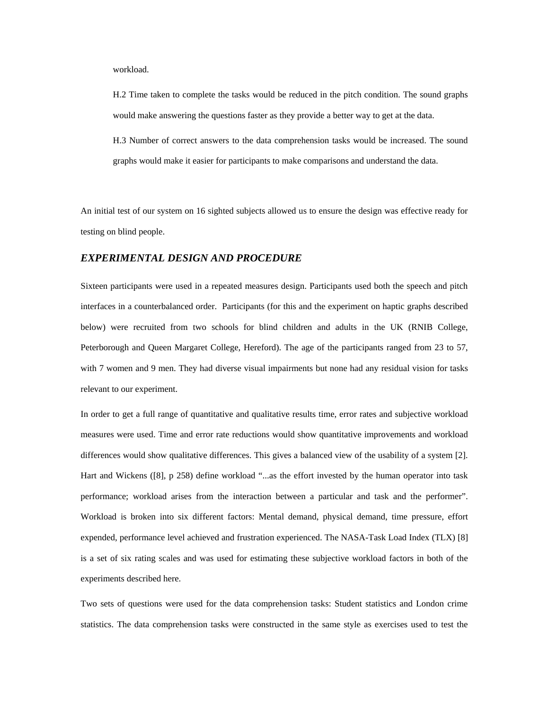workload.

H.2 Time taken to complete the tasks would be reduced in the pitch condition. The sound graphs would make answering the questions faster as they provide a better way to get at the data.

H.3 Number of correct answers to the data comprehension tasks would be increased. The sound graphs would make it easier for participants to make comparisons and understand the data.

An initial test of our system on 16 sighted subjects allowed us to ensure the design was effective ready for testing on blind people.

#### *EXPERIMENTAL DESIGN AND PROCEDURE*

Sixteen participants were used in a repeated measures design. Participants used both the speech and pitch interfaces in a counterbalanced order. Participants (for this and the experiment on haptic graphs described below) were recruited from two schools for blind children and adults in the UK (RNIB College, Peterborough and Queen Margaret College, Hereford). The age of the participants ranged from 23 to 57, with 7 women and 9 men. They had diverse visual impairments but none had any residual vision for tasks relevant to our experiment.

In order to get a full range of quantitative and qualitative results time, error rates and subjective workload measures were used. Time and error rate reductions would show quantitative improvements and workload differences would show qualitative differences. This gives a balanced view of the usability of a system [2]. Hart and Wickens ([8], p 258) define workload "...as the effort invested by the human operator into task performance; workload arises from the interaction between a particular and task and the performer". Workload is broken into six different factors: Mental demand, physical demand, time pressure, effort expended, performance level achieved and frustration experienced. The NASA-Task Load Index (TLX) [8] is a set of six rating scales and was used for estimating these subjective workload factors in both of the experiments described here.

Two sets of questions were used for the data comprehension tasks: Student statistics and London crime statistics. The data comprehension tasks were constructed in the same style as exercises used to test the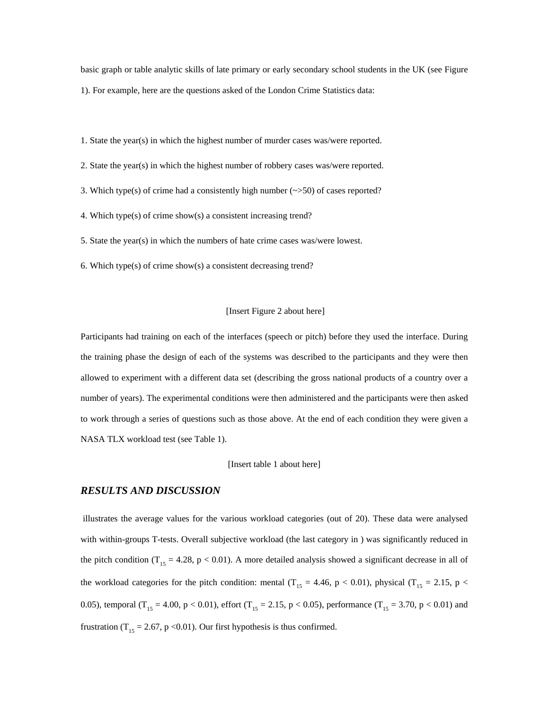basic graph or table analytic skills of late primary or early secondary school students in the UK (see Figure 1). For example, here are the questions asked of the London Crime Statistics data:

1. State the year(s) in which the highest number of murder cases was/were reported.

2. State the year(s) in which the highest number of robbery cases was/were reported.

3. Which type(s) of crime had a consistently high number  $(\sim>50)$  of cases reported?

4. Which type(s) of crime show(s) a consistent increasing trend?

5. State the year(s) in which the numbers of hate crime cases was/were lowest.

6. Which type(s) of crime show(s) a consistent decreasing trend?

#### [Insert Figure 2 about here]

Participants had training on each of the interfaces (speech or pitch) before they used the interface. During the training phase the design of each of the systems was described to the participants and they were then allowed to experiment with a different data set (describing the gross national products of a country over a number of years). The experimental conditions were then administered and the participants were then asked to work through a series of questions such as those above. At the end of each condition they were given a NASA TLX workload test (see Table 1).

#### [Insert table 1 about here]

#### *RESULTS AND DISCUSSION*

 illustrates the average values for the various workload categories (out of 20). These data were analysed with within-groups T-tests. Overall subjective workload (the last category in ) was significantly reduced in the pitch condition ( $T_{15} = 4.28$ , p < 0.01). A more detailed analysis showed a significant decrease in all of the workload categories for the pitch condition: mental (T<sub>15</sub> = 4.46, p < 0.01), physical (T<sub>15</sub> = 2.15, p < 0.05), temporal ( $T_{15} = 4.00$ , p < 0.01), effort ( $T_{15} = 2.15$ , p < 0.05), performance ( $T_{15} = 3.70$ , p < 0.01) and frustration (T<sub>15</sub> = 2.67, p < 0.01). Our first hypothesis is thus confirmed.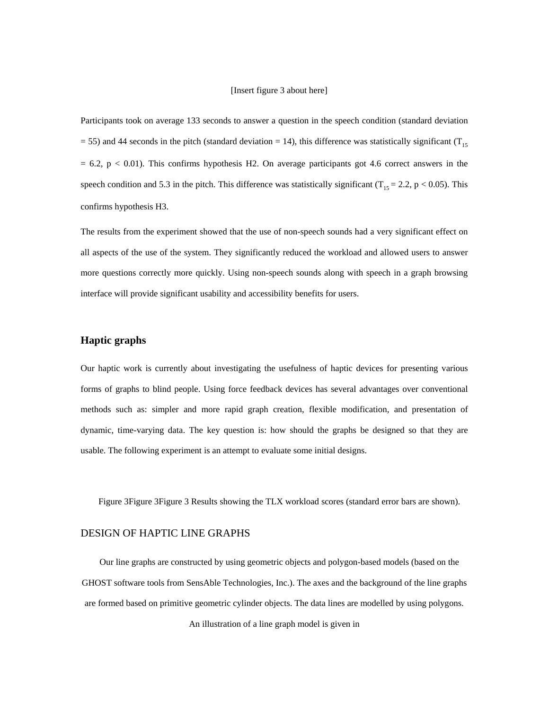#### [Insert figure 3 about here]

Participants took on average 133 seconds to answer a question in the speech condition (standard deviation = 55) and 44 seconds in the pitch (standard deviation = 14), this difference was statistically significant ( $T_{15}$ )  $= 6.2$ ,  $p < 0.01$ ). This confirms hypothesis H2. On average participants got 4.6 correct answers in the speech condition and 5.3 in the pitch. This difference was statistically significant ( $T_{15} = 2.2$ , p < 0.05). This confirms hypothesis H3.

The results from the experiment showed that the use of non-speech sounds had a very significant effect on all aspects of the use of the system. They significantly reduced the workload and allowed users to answer more questions correctly more quickly. Using non-speech sounds along with speech in a graph browsing interface will provide significant usability and accessibility benefits for users.

## **Haptic graphs**

Our haptic work is currently about investigating the usefulness of haptic devices for presenting various forms of graphs to blind people. Using force feedback devices has several advantages over conventional methods such as: simpler and more rapid graph creation, flexible modification, and presentation of dynamic, time-varying data. The key question is: how should the graphs be designed so that they are usable. The following experiment is an attempt to evaluate some initial designs.

Figure 3Figure 3Figure 3 Results showing the TLX workload scores (standard error bars are shown).

# DESIGN OF HAPTIC LINE GRAPHS

Our line graphs are constructed by using geometric objects and polygon-based models (based on the GHOST software tools from SensAble Technologies, Inc.). The axes and the background of the line graphs are formed based on primitive geometric cylinder objects. The data lines are modelled by using polygons. An illustration of a line graph model is given in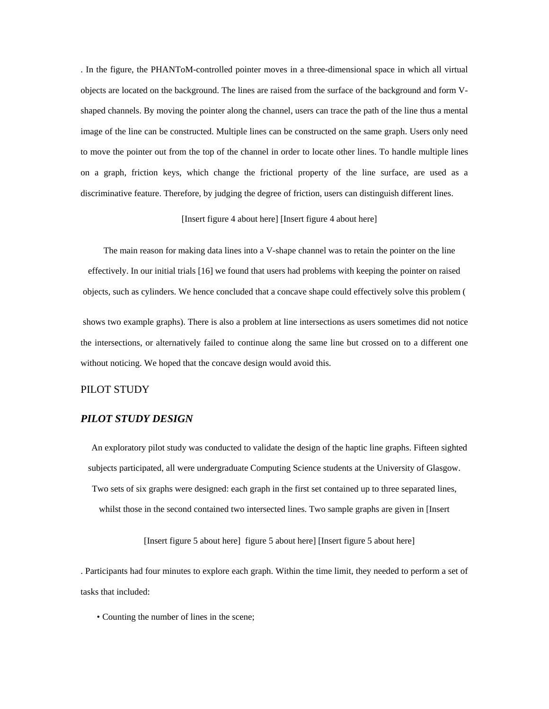. In the figure, the PHANToM-controlled pointer moves in a three-dimensional space in which all virtual objects are located on the background. The lines are raised from the surface of the background and form Vshaped channels. By moving the pointer along the channel, users can trace the path of the line thus a mental image of the line can be constructed. Multiple lines can be constructed on the same graph. Users only need to move the pointer out from the top of the channel in order to locate other lines. To handle multiple lines on a graph, friction keys, which change the frictional property of the line surface, are used as a discriminative feature. Therefore, by judging the degree of friction, users can distinguish different lines.

[Insert figure 4 about here] [Insert figure 4 about here]

The main reason for making data lines into a V-shape channel was to retain the pointer on the line effectively. In our initial trials [16] we found that users had problems with keeping the pointer on raised objects, such as cylinders. We hence concluded that a concave shape could effectively solve this problem ( shows two example graphs). There is also a problem at line intersections as users sometimes did not notice the intersections, or alternatively failed to continue along the same line but crossed on to a different one without noticing. We hoped that the concave design would avoid this.

# PILOT STUDY

# *PILOT STUDY DESIGN*

An exploratory pilot study was conducted to validate the design of the haptic line graphs. Fifteen sighted subjects participated, all were undergraduate Computing Science students at the University of Glasgow. Two sets of six graphs were designed: each graph in the first set contained up to three separated lines, whilst those in the second contained two intersected lines. Two sample graphs are given in [Insert

[Insert figure 5 about here] figure 5 about here] [Insert figure 5 about here]

. Participants had four minutes to explore each graph. Within the time limit, they needed to perform a set of tasks that included:

• Counting the number of lines in the scene;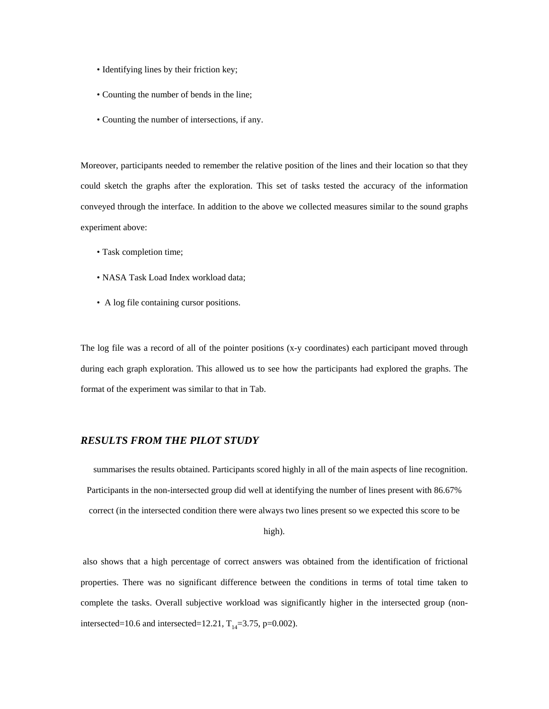- Identifying lines by their friction key;
- Counting the number of bends in the line;
- Counting the number of intersections, if any.

Moreover, participants needed to remember the relative position of the lines and their location so that they could sketch the graphs after the exploration. This set of tasks tested the accuracy of the information conveyed through the interface. In addition to the above we collected measures similar to the sound graphs experiment above:

- Task completion time;
- NASA Task Load Index workload data;
- A log file containing cursor positions.

The log file was a record of all of the pointer positions (x-y coordinates) each participant moved through during each graph exploration. This allowed us to see how the participants had explored the graphs. The format of the experiment was similar to that in Tab.

# *RESULTS FROM THE PILOT STUDY*

 summarises the results obtained. Participants scored highly in all of the main aspects of line recognition. Participants in the non-intersected group did well at identifying the number of lines present with 86.67% correct (in the intersected condition there were always two lines present so we expected this score to be

high).

 also shows that a high percentage of correct answers was obtained from the identification of frictional properties. There was no significant difference between the conditions in terms of total time taken to complete the tasks. Overall subjective workload was significantly higher in the intersected group (nonintersected=10.6 and intersected=12.21,  $T_{14}$ =3.75, p=0.002).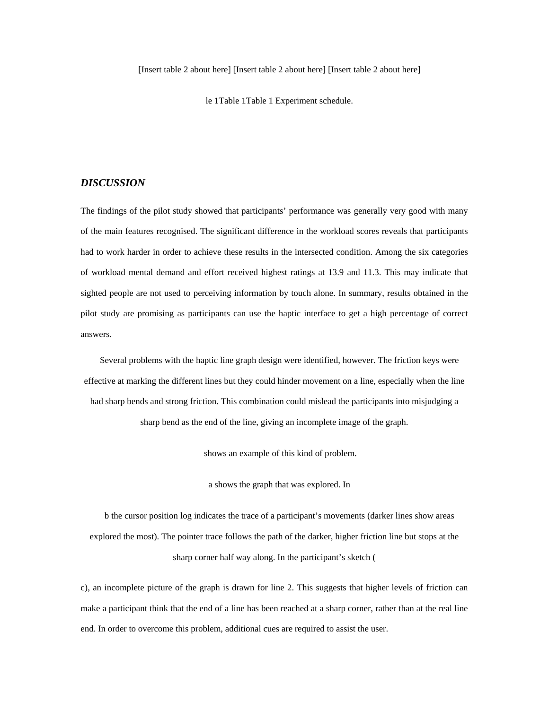le 1Table 1Table 1 Experiment schedule.

## *DISCUSSION*

The findings of the pilot study showed that participants' performance was generally very good with many of the main features recognised. The significant difference in the workload scores reveals that participants had to work harder in order to achieve these results in the intersected condition. Among the six categories of workload mental demand and effort received highest ratings at 13.9 and 11.3. This may indicate that sighted people are not used to perceiving information by touch alone. In summary, results obtained in the pilot study are promising as participants can use the haptic interface to get a high percentage of correct answers.

Several problems with the haptic line graph design were identified, however. The friction keys were effective at marking the different lines but they could hinder movement on a line, especially when the line had sharp bends and strong friction. This combination could mislead the participants into misjudging a sharp bend as the end of the line, giving an incomplete image of the graph.

shows an example of this kind of problem.

a shows the graph that was explored. In

b the cursor position log indicates the trace of a participant's movements (darker lines show areas explored the most). The pointer trace follows the path of the darker, higher friction line but stops at the sharp corner half way along. In the participant's sketch (

c), an incomplete picture of the graph is drawn for line 2. This suggests that higher levels of friction can make a participant think that the end of a line has been reached at a sharp corner, rather than at the real line end. In order to overcome this problem, additional cues are required to assist the user.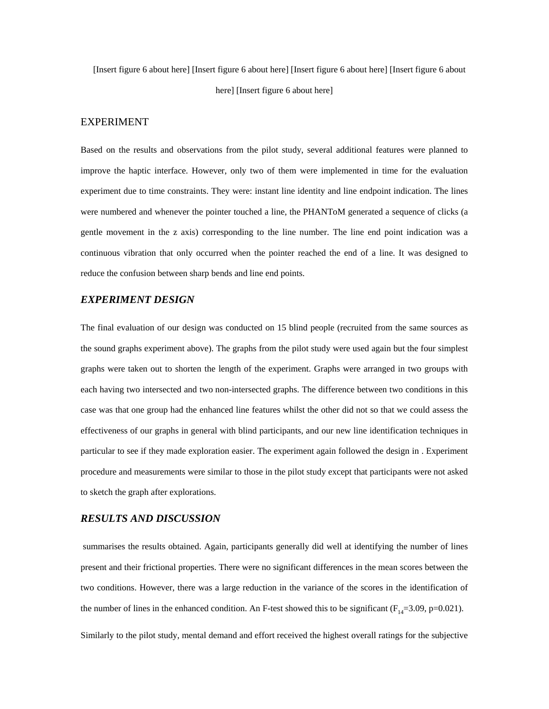[Insert figure 6 about here] [Insert figure 6 about here] [Insert figure 6 about here] [Insert figure 6 about here] [Insert figure 6 about here]

#### EXPERIMENT

Based on the results and observations from the pilot study, several additional features were planned to improve the haptic interface. However, only two of them were implemented in time for the evaluation experiment due to time constraints. They were: instant line identity and line endpoint indication. The lines were numbered and whenever the pointer touched a line, the PHANToM generated a sequence of clicks (a gentle movement in the z axis) corresponding to the line number. The line end point indication was a continuous vibration that only occurred when the pointer reached the end of a line. It was designed to reduce the confusion between sharp bends and line end points.

# *EXPERIMENT DESIGN*

The final evaluation of our design was conducted on 15 blind people (recruited from the same sources as the sound graphs experiment above). The graphs from the pilot study were used again but the four simplest graphs were taken out to shorten the length of the experiment. Graphs were arranged in two groups with each having two intersected and two non-intersected graphs. The difference between two conditions in this case was that one group had the enhanced line features whilst the other did not so that we could assess the effectiveness of our graphs in general with blind participants, and our new line identification techniques in particular to see if they made exploration easier. The experiment again followed the design in . Experiment procedure and measurements were similar to those in the pilot study except that participants were not asked to sketch the graph after explorations.

# *RESULTS AND DISCUSSION*

 summarises the results obtained. Again, participants generally did well at identifying the number of lines present and their frictional properties. There were no significant differences in the mean scores between the two conditions. However, there was a large reduction in the variance of the scores in the identification of the number of lines in the enhanced condition. An F-test showed this to be significant ( $F_{14}=3.09$ , p=0.021).

Similarly to the pilot study, mental demand and effort received the highest overall ratings for the subjective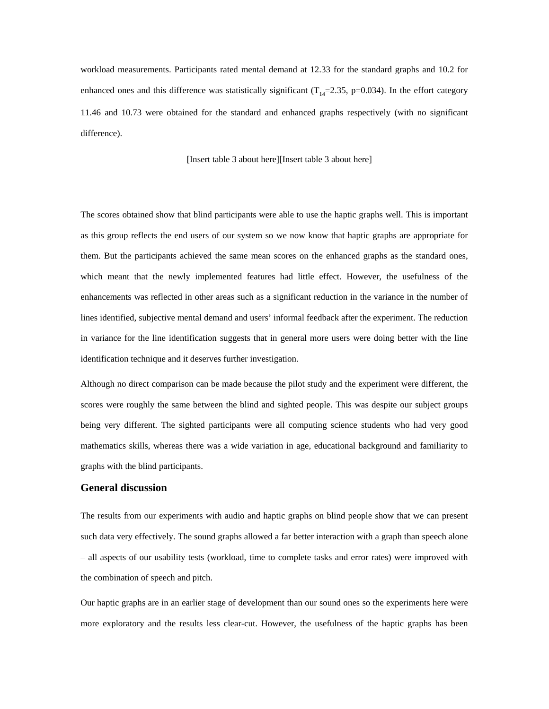workload measurements. Participants rated mental demand at 12.33 for the standard graphs and 10.2 for enhanced ones and this difference was statistically significant ( $T_{14}$ =2.35, p=0.034). In the effort category 11.46 and 10.73 were obtained for the standard and enhanced graphs respectively (with no significant difference).

[Insert table 3 about here][Insert table 3 about here]

The scores obtained show that blind participants were able to use the haptic graphs well. This is important as this group reflects the end users of our system so we now know that haptic graphs are appropriate for them. But the participants achieved the same mean scores on the enhanced graphs as the standard ones, which meant that the newly implemented features had little effect. However, the usefulness of the enhancements was reflected in other areas such as a significant reduction in the variance in the number of lines identified, subjective mental demand and users' informal feedback after the experiment. The reduction in variance for the line identification suggests that in general more users were doing better with the line identification technique and it deserves further investigation.

Although no direct comparison can be made because the pilot study and the experiment were different, the scores were roughly the same between the blind and sighted people. This was despite our subject groups being very different. The sighted participants were all computing science students who had very good mathematics skills, whereas there was a wide variation in age, educational background and familiarity to graphs with the blind participants.

# **General discussion**

The results from our experiments with audio and haptic graphs on blind people show that we can present such data very effectively. The sound graphs allowed a far better interaction with a graph than speech alone – all aspects of our usability tests (workload, time to complete tasks and error rates) were improved with the combination of speech and pitch.

Our haptic graphs are in an earlier stage of development than our sound ones so the experiments here were more exploratory and the results less clear-cut. However, the usefulness of the haptic graphs has been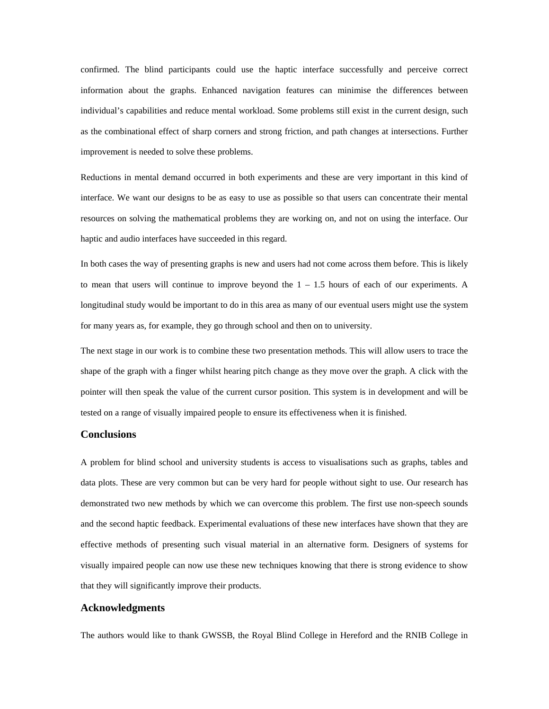confirmed. The blind participants could use the haptic interface successfully and perceive correct information about the graphs. Enhanced navigation features can minimise the differences between individual's capabilities and reduce mental workload. Some problems still exist in the current design, such as the combinational effect of sharp corners and strong friction, and path changes at intersections. Further improvement is needed to solve these problems.

Reductions in mental demand occurred in both experiments and these are very important in this kind of interface. We want our designs to be as easy to use as possible so that users can concentrate their mental resources on solving the mathematical problems they are working on, and not on using the interface. Our haptic and audio interfaces have succeeded in this regard.

In both cases the way of presenting graphs is new and users had not come across them before. This is likely to mean that users will continue to improve beyond the  $1 - 1.5$  hours of each of our experiments. A longitudinal study would be important to do in this area as many of our eventual users might use the system for many years as, for example, they go through school and then on to university.

The next stage in our work is to combine these two presentation methods. This will allow users to trace the shape of the graph with a finger whilst hearing pitch change as they move over the graph. A click with the pointer will then speak the value of the current cursor position. This system is in development and will be tested on a range of visually impaired people to ensure its effectiveness when it is finished.

#### **Conclusions**

A problem for blind school and university students is access to visualisations such as graphs, tables and data plots. These are very common but can be very hard for people without sight to use. Our research has demonstrated two new methods by which we can overcome this problem. The first use non-speech sounds and the second haptic feedback. Experimental evaluations of these new interfaces have shown that they are effective methods of presenting such visual material in an alternative form. Designers of systems for visually impaired people can now use these new techniques knowing that there is strong evidence to show that they will significantly improve their products.

#### **Acknowledgments**

The authors would like to thank GWSSB, the Royal Blind College in Hereford and the RNIB College in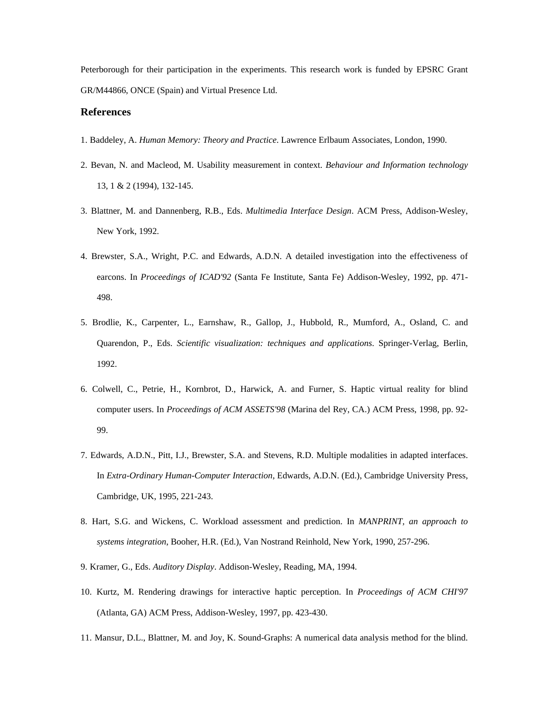Peterborough for their participation in the experiments. This research work is funded by EPSRC Grant GR/M44866, ONCE (Spain) and Virtual Presence Ltd.

## **References**

- 1. Baddeley, A. *Human Memory: Theory and Practice*. Lawrence Erlbaum Associates, London, 1990.
- 2. Bevan, N. and Macleod, M. Usability measurement in context. *Behaviour and Information technology* 13, 1 & 2 (1994), 132-145.
- 3. Blattner, M. and Dannenberg, R.B., Eds. *Multimedia Interface Design*. ACM Press, Addison-Wesley, New York, 1992.
- 4. Brewster, S.A., Wright, P.C. and Edwards, A.D.N. A detailed investigation into the effectiveness of earcons. In *Proceedings of ICAD'92* (Santa Fe Institute, Santa Fe) Addison-Wesley, 1992, pp. 471- 498.
- 5. Brodlie, K., Carpenter, L., Earnshaw, R., Gallop, J., Hubbold, R., Mumford, A., Osland, C. and Quarendon, P., Eds. *Scientific visualization: techniques and applications*. Springer-Verlag, Berlin, 1992.
- 6. Colwell, C., Petrie, H., Kornbrot, D., Harwick, A. and Furner, S. Haptic virtual reality for blind computer users. In *Proceedings of ACM ASSETS'98* (Marina del Rey, CA.) ACM Press, 1998, pp. 92- 99.
- 7. Edwards, A.D.N., Pitt, I.J., Brewster, S.A. and Stevens, R.D. Multiple modalities in adapted interfaces. In *Extra-Ordinary Human-Computer Interaction*, Edwards, A.D.N. (Ed.), Cambridge University Press, Cambridge, UK, 1995, 221-243.
- 8. Hart, S.G. and Wickens, C. Workload assessment and prediction. In *MANPRINT, an approach to systems integration*, Booher, H.R. (Ed.), Van Nostrand Reinhold, New York, 1990, 257-296.
- 9. Kramer, G., Eds. *Auditory Display*. Addison-Wesley, Reading, MA, 1994.
- 10. Kurtz, M. Rendering drawings for interactive haptic perception. In *Proceedings of ACM CHI'97* (Atlanta, GA) ACM Press, Addison-Wesley, 1997, pp. 423-430.
- 11. Mansur, D.L., Blattner, M. and Joy, K. Sound-Graphs: A numerical data analysis method for the blind.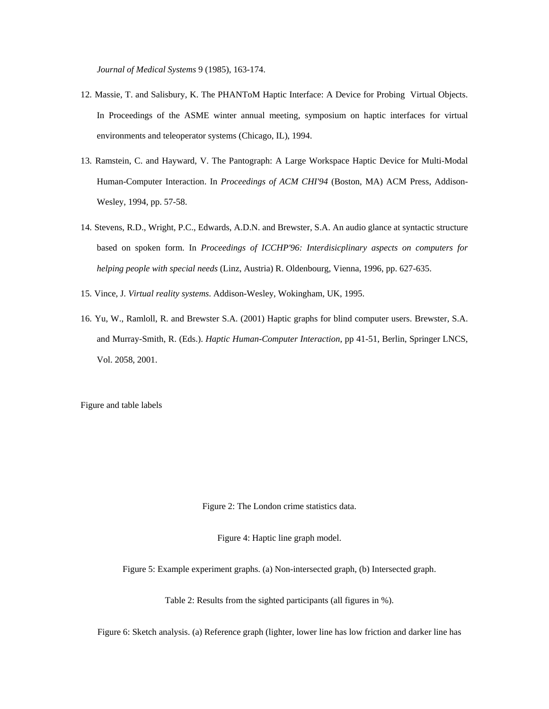*Journal of Medical Systems* 9 (1985), 163-174.

- 12. Massie, T. and Salisbury, K. The PHANToM Haptic Interface: A Device for Probing Virtual Objects. In Proceedings of the ASME winter annual meeting, symposium on haptic interfaces for virtual environments and teleoperator systems (Chicago, IL), 1994.
- 13. Ramstein, C. and Hayward, V. The Pantograph: A Large Workspace Haptic Device for Multi-Modal Human-Computer Interaction. In *Proceedings of ACM CHI'94* (Boston, MA) ACM Press, Addison-Wesley, 1994, pp. 57-58.
- 14. Stevens, R.D., Wright, P.C., Edwards, A.D.N. and Brewster, S.A. An audio glance at syntactic structure based on spoken form. In *Proceedings of ICCHP'96: Interdisicplinary aspects on computers for helping people with special needs* (Linz, Austria) R. Oldenbourg, Vienna, 1996, pp. 627-635.
- 15. Vince, J. *Virtual reality systems*. Addison-Wesley, Wokingham, UK, 1995.
- 16. Yu, W., Ramloll, R. and Brewster S.A. (2001) Haptic graphs for blind computer users. Brewster, S.A. and Murray-Smith, R. (Eds.). *Haptic Human-Computer Interaction*, pp 41-51, Berlin, Springer LNCS, Vol. 2058, 2001.

Figure and table labels

Figure 2: The London crime statistics data.

Figure 4: Haptic line graph model.

Figure 5: Example experiment graphs. (a) Non-intersected graph, (b) Intersected graph.

Table 2: Results from the sighted participants (all figures in %).

Figure 6: Sketch analysis. (a) Reference graph (lighter, lower line has low friction and darker line has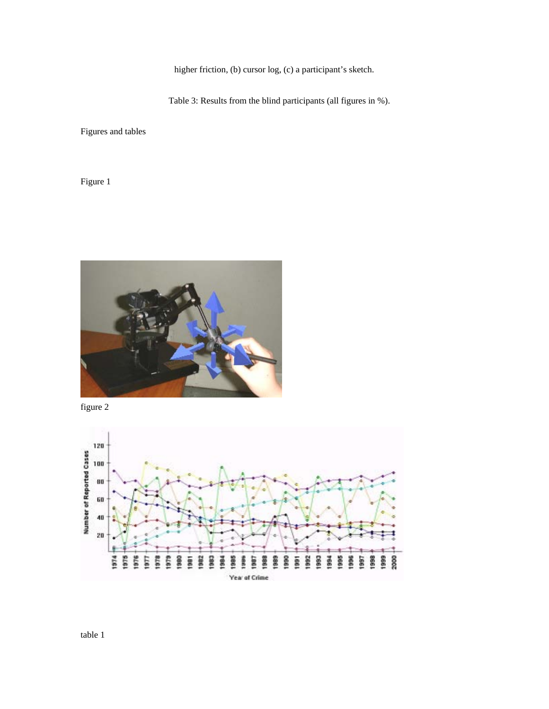higher friction, (b) cursor log, (c) a participant's sketch.

Table 3: Results from the blind participants (all figures in %).

Figures and tables

Figure 1



figure 2

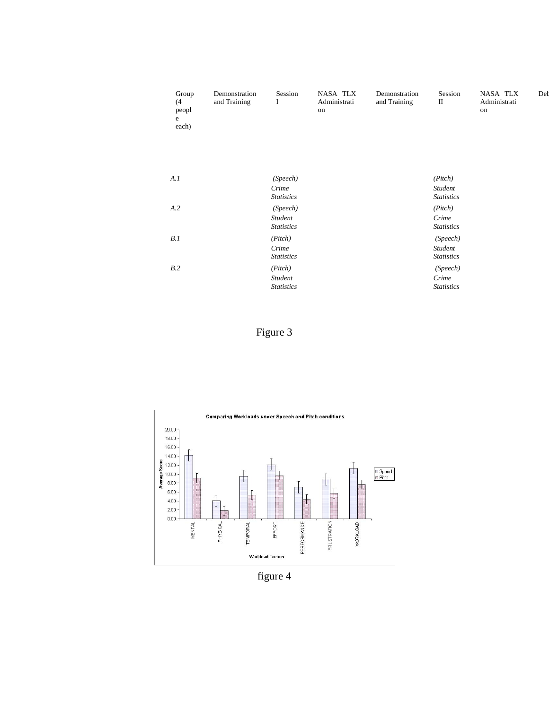| Group<br>(4)<br>peopl<br>e<br>each) | Demonstration<br>and Training | Session<br>I                             | NASA TLX<br>Administrati<br>on | Demonstration<br>and Training | Session<br>$\mathbf{I}$                  | NASA TLX<br>Administrati<br>on | De |
|-------------------------------------|-------------------------------|------------------------------------------|--------------------------------|-------------------------------|------------------------------------------|--------------------------------|----|
| A.I                                 |                               | (Speech)<br>Crime<br><b>Statistics</b>   |                                |                               | (Pick)<br>Student<br><b>Statistics</b>   |                                |    |
| A.2                                 |                               | (Speech)<br>Student<br><b>Statistics</b> |                                |                               | (Pick)<br>Crime<br><b>Statistics</b>     |                                |    |
| B.1                                 |                               | (Pitch)<br>Crime<br><b>Statistics</b>    |                                |                               | (Speech)<br>Student<br><b>Statistics</b> |                                |    |
| B.2                                 |                               | (Pitch)<br>Student<br><b>Statistics</b>  |                                |                               | (Speech)<br>Crime<br><b>Statistics</b>   |                                |    |
|                                     |                               |                                          |                                |                               |                                          |                                |    |

Figure 3



figure 4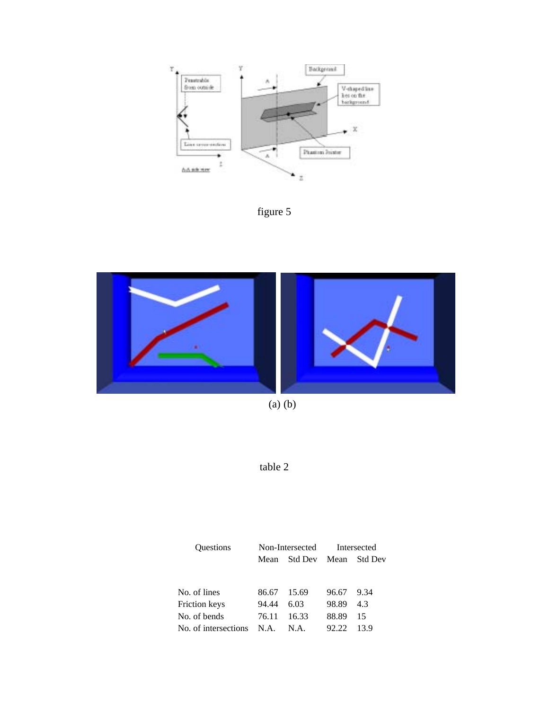

figure 5



(a) (b)

table 2

| <b>Ouestions</b>     |       | Non-Intersected      | Intersected |      |  |
|----------------------|-------|----------------------|-------------|------|--|
|                      | Mean  | Std Dev Mean Std Dev |             |      |  |
|                      |       |                      |             |      |  |
| No. of lines         | 86.67 | 15.69                | 96.67       | 9.34 |  |
| Friction keys        | 94.44 | 6.03                 | 98.89       | 4.3  |  |
| No. of bends         | 76.11 | 16.33                | 88.89       | 15   |  |
| No. of intersections | N.A.  | N.A.                 | 92.22       | 13.9 |  |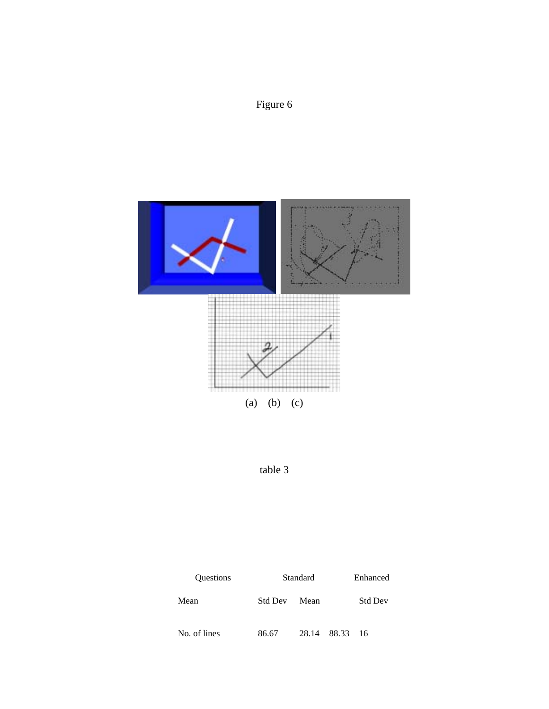



table 3

| <b>Ouestions</b> | Standard |       | Enhanced |                |  |
|------------------|----------|-------|----------|----------------|--|
| Mean             | Std Dev  | Mean  |          | <b>Std Dev</b> |  |
| No. of lines     | 86.67    | 28.14 | 88.33    | 16             |  |